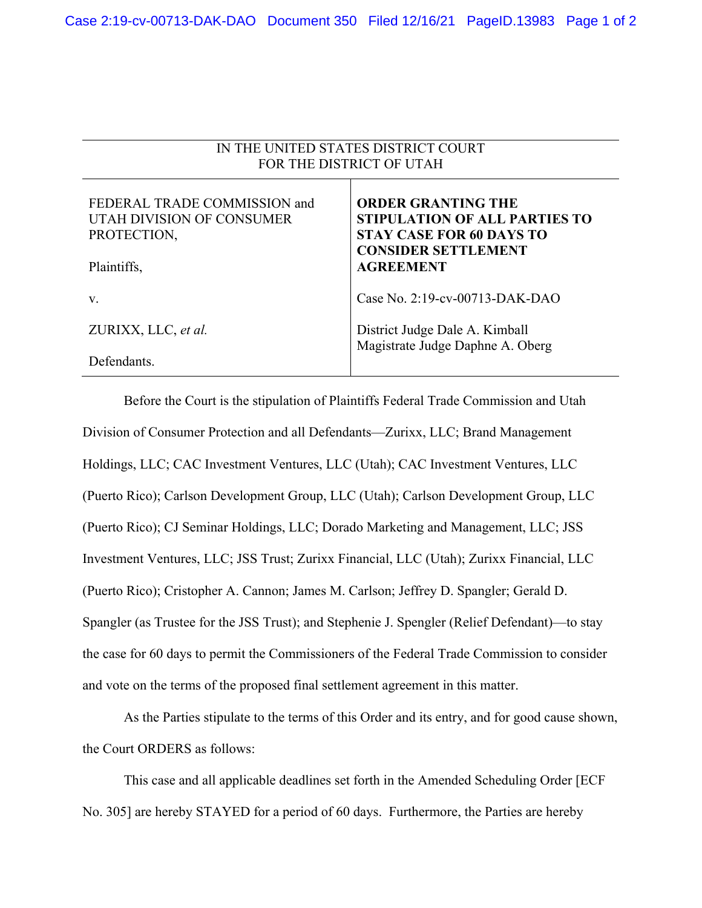IN THE UNITED STATES DISTRICT COURT

| FOR THE DISTRICT OF UTAH                                                 |                                                                                                                                    |
|--------------------------------------------------------------------------|------------------------------------------------------------------------------------------------------------------------------------|
| FEDERAL TRADE COMMISSION and<br>UTAH DIVISION OF CONSUMER<br>PROTECTION, | <b>ORDER GRANTING THE</b><br><b>STIPULATION OF ALL PARTIES TO</b><br><b>STAY CASE FOR 60 DAYS TO</b><br><b>CONSIDER SETTLEMENT</b> |
| Plaintiffs,                                                              | <b>AGREEMENT</b>                                                                                                                   |
| V.                                                                       | Case No. 2:19-cv-00713-DAK-DAO                                                                                                     |
| ZURIXX, LLC, et al.                                                      | District Judge Dale A. Kimball<br>Magistrate Judge Daphne A. Oberg                                                                 |
| Defendants.                                                              |                                                                                                                                    |

Before the Court is the stipulation of Plaintiffs Federal Trade Commission and Utah Division of Consumer Protection and all Defendants—Zurixx, LLC; Brand Management Holdings, LLC; CAC Investment Ventures, LLC (Utah); CAC Investment Ventures, LLC (Puerto Rico); Carlson Development Group, LLC (Utah); Carlson Development Group, LLC (Puerto Rico); CJ Seminar Holdings, LLC; Dorado Marketing and Management, LLC; JSS Investment Ventures, LLC; JSS Trust; Zurixx Financial, LLC (Utah); Zurixx Financial, LLC (Puerto Rico); Cristopher A. Cannon; James M. Carlson; Jeffrey D. Spangler; Gerald D. Spangler (as Trustee for the JSS Trust); and Stephenie J. Spengler (Relief Defendant)—to stay the case for 60 days to permit the Commissioners of the Federal Trade Commission to consider and vote on the terms of the proposed final settlement agreement in this matter.

As the Parties stipulate to the terms of this Order and its entry, and for good cause shown, the Court ORDERS as follows:

This case and all applicable deadlines set forth in the Amended Scheduling Order [ECF No. 305] are hereby STAYED for a period of 60 days. Furthermore, the Parties are hereby